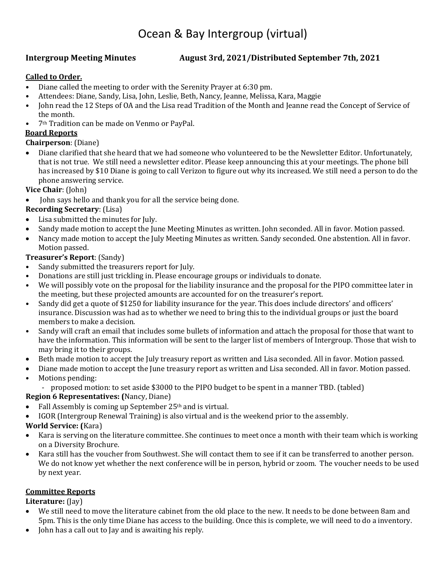# Ocean & Bay Intergroup (virtual)

## **Intergroup Meeting Minutes August 3rd, 2021/Distributed September 7th, 2021**

#### **Called to Order.**

- Diane called the meeting to order with the Serenity Prayer at 6:30 pm.
- Attendees: Diane, Sandy, Lisa, John, Leslie, Beth, Nancy, Jeanne, Melissa, Kara, Maggie<br>• Iohn read the 12 Steps of OA and the Lisa read Tradition of the Month and Jeanne read
- John read the 12 Steps of OA and the Lisa read Tradition of the Month and Jeanne read the Concept of Service of the month.
- 7th Tradition can be made on Venmo or PayPal.

#### **Board Reports**

#### **Chairperson**: (Diane)

• Diane clarified that she heard that we had someone who volunteered to be the Newsletter Editor. Unfortunately, that is not true. We still need a newsletter editor. Please keep announcing this at your meetings. The phone bill has increased by \$10 Diane is going to call Verizon to figure out why its increased. We still need a person to do the phone answering service.

#### **Vice Chair**: (John)

John says hello and thank you for all the service being done.

## **Recording Secretary**: (Lisa)

- Lisa submitted the minutes for July.
- Sandy made motion to accept the June Meeting Minutes as written. John seconded. All in favor. Motion passed.
- Nancy made motion to accept the July Meeting Minutes as written. Sandy seconded. One abstention. All in favor. Motion passed.

#### **Treasurer's Report**: (Sandy)

- Sandy submitted the treasurers report for July.
- Donations are still just trickling in. Please encourage groups or individuals to donate.
- We will possibly vote on the proposal for the liability insurance and the proposal for the PIPO committee later in the meeting, but these projected amounts are accounted for on the treasurer's report.
- Sandy did get a quote of \$1250 for liability insurance for the year. This does include directors' and officers' insurance. Discussion was had as to whether we need to bring this to the individual groups or just the board members to make a decision.
- Sandy will craft an email that includes some bullets of information and attach the proposal for those that want to have the information. This information will be sent to the larger list of members of Intergroup. Those that wish to may bring it to their groups.
- Beth made motion to accept the July treasury report as written and Lisa seconded. All in favor. Motion passed.
- Diane made motion to accept the June treasury report as written and Lisa seconded. All in favor. Motion passed.
- Motions pending:
	- proposed motion: to set aside \$3000 to the PIPO budget to be spent in a manner TBD. (tabled)

#### **Region 6 Representatives: (**Nancy, Diane)

- Fall Assembly is coming up September  $25<sup>th</sup>$  and is virtual.
- IGOR (Intergroup Renewal Training) is also virtual and is the weekend prior to the assembly.

#### **World Service: (**Kara)

- Kara is serving on the literature committee. She continues to meet once a month with their team which is working on a Diversity Brochure.
- Kara still has the voucher from Southwest. She will contact them to see if it can be transferred to another person. We do not know yet whether the next conference will be in person, hybrid or zoom. The voucher needs to be used by next year.

#### **Committee Reports**

**Literature:** (Jay)

- We still need to move the literature cabinet from the old place to the new. It needs to be done between 8am and 5pm. This is the only time Diane has access to the building. Once this is complete, we will need to do a inventory.
- John has a call out to Jay and is awaiting his reply.